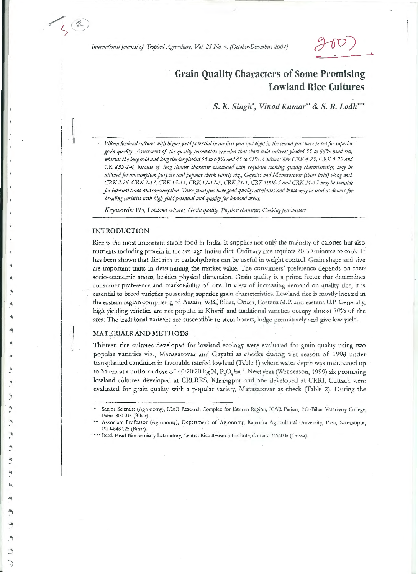International Journal of Tropical Agriculture, Vol. 25 No. 4, (October-December, 2007)

# **Grain Quality Characters of Some Promising Lowland Rice Cultures**

S. K. Singh', Vinod Kumar" & S. B. Lodh""

Fifteen lowland cultures with higher yield potential in the first year and eight in the second year were tested for superior grain quality. Assessment of the quality parameters revealed that short bold cultures yielded 55 to 66% head rice, whereas the long bold and long slender yielded 55 to 63% and 45 to 61%. Cultures like CRK 4-25, CRK 4-22 and CR 835-2-4, because of long slender character associated with requisite cooking quality characteristics, may be utilized for consumption purpose and popular check variety viz., Gayatri and Manasarovar (short bold) along with CRK 2-26, CRK 7-17, CRK 13-11, CRK 17-17-5, CRK 21-1, CRK 1006-5 and CRK 24-17 may be suitable for internal trade and consumption. These genotypes have good quality attributes and hence may be used as donors for breeding varieties with high yield potential and quality for lowland areas.

Keywords: Rice, Lowland cultures, Grain quality, Physical character, Cooking parameters

#### **INTRODUCTION**

Rice is the most important staple food in India. It supplies not only the majority of calories but also nutrients including protein in the average Indian diet. Ordinary rice requires 20-30 minutes to cook. It has been shown that diet rich in carbohydrates can be useful in weight control. Grain shape and size are important traits in determining the market value. The consumers' preference depends on their socio-economic status, besides physical dimension. Grain quality is a prime factor that determines consumer preference and marketability of rice. In view of increasing demand on quality rice, it is essential to breed varieties possessing superior grain characteristics. Lowland rice is mostly located in the eastern region comprising of Assam, W.B., Bihar, Orissa, Eastern M.P. and eastern U.P. Generally, high yielding varieties are not popular in Kharif and traditional varieties occupy almost 70% of the area. The traditional varieties are susceptible to stem borers, lodge prematurely and give low yield.

## **MATERIALS AND METHODS**

Thirteen rice cultures developed for lowland ecology were evaluated for grain quality using two popular varieties viz., Manasarovar and Gayatri as checks during wet season of 1998 under transplanted condition in favorable rainfed lowland (Table 1) where water depth was maintained up to 35 cm at a uniform dose of 40:20:20 kg N, P<sub>2</sub>O<sub>c</sub> ha<sup>-1</sup>. Next year (Wet season, 1999) six promising lowland cultures developed at CRLRRS, Kharagpur and one developed at CRRI, Cuttack were evaluated for grain quality with a popular variety, Manasarovar as check (Table 2). During the

Senior Scientist (Agronomy), ICAR Research Complex for Eastern Region, ICAR Parisar, P.O.-Bihar Veterinary College, Patna-800 014 (Bihar).

Associate Professor (Agronomy), Department of Agronomy, Rajendra Agricultural University, Pusa, Samastipur, PIN-848 125 (Bihar).

<sup>\*\*\*</sup> Retd. Head Biochemistry Laboratory, Central Rice Research Institute, Cuttack-7353006 (Orissa).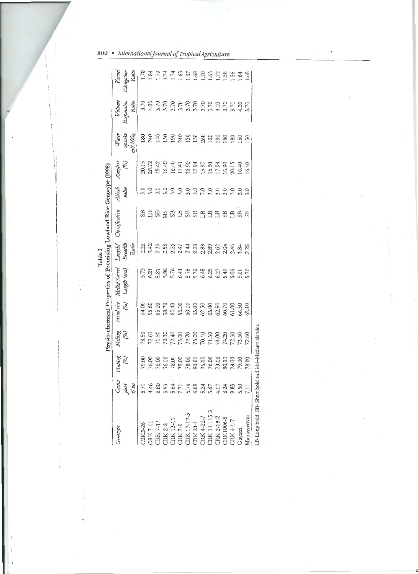|                                                                                                                                                                                                                                                                             |                         |                           |                           |                             |                              | Table 1                                                                | Physio-chemical Properties of Promising Lowland Rice Genotype (1998) |                 |                           |                            |                              |                                          |
|-----------------------------------------------------------------------------------------------------------------------------------------------------------------------------------------------------------------------------------------------------------------------------|-------------------------|---------------------------|---------------------------|-----------------------------|------------------------------|------------------------------------------------------------------------|----------------------------------------------------------------------|-----------------|---------------------------|----------------------------|------------------------------|------------------------------------------|
| Senotype                                                                                                                                                                                                                                                                    | Grain<br>yield<br>t/ ha | Hulling<br>$\binom{6}{6}$ | Milling<br>$\binom{6}{0}$ | Head rice<br>$\binom{p}{o}$ | Milled Kernel<br>Length (mm) | Breadth<br>Ratio<br>Length/                                            | Classification                                                       | Alkali<br>value | Amylose<br>$\binom{6}{2}$ | Water<br>ml/100g<br>uptake | Volume<br>Expansion<br>Ratio | Kernel<br>Elongation<br>Ratio            |
| TRK2-26                                                                                                                                                                                                                                                                     |                         | 79.00                     |                           |                             |                              |                                                                        | EB                                                                   | 3.0             |                           | 180                        |                              | 1.78                                     |
|                                                                                                                                                                                                                                                                             |                         |                           |                           |                             |                              |                                                                        |                                                                      | 3.0             |                           | 240                        |                              | $^{1.84}$                                |
|                                                                                                                                                                                                                                                                             |                         |                           |                           |                             |                              |                                                                        |                                                                      | 3.0             |                           | 140                        |                              | 1.79                                     |
|                                                                                                                                                                                                                                                                             |                         |                           |                           |                             |                              |                                                                        | <b>SSSS</b>                                                          | 3.0             |                           | 130                        |                              | 1.74                                     |
|                                                                                                                                                                                                                                                                             |                         |                           |                           |                             |                              |                                                                        |                                                                      | 3.0             |                           | 190                        |                              | 1.74                                     |
|                                                                                                                                                                                                                                                                             |                         |                           |                           |                             |                              |                                                                        |                                                                      | 3.0             |                           | 240<br>150                 |                              |                                          |
|                                                                                                                                                                                                                                                                             |                         |                           |                           |                             |                              |                                                                        | SB                                                                   | 3.0             |                           |                            |                              |                                          |
|                                                                                                                                                                                                                                                                             |                         |                           |                           |                             |                              |                                                                        | SB                                                                   | 3.0             |                           | 130                        |                              |                                          |
|                                                                                                                                                                                                                                                                             |                         |                           |                           |                             |                              |                                                                        | $\mathbb{H}$                                                         | <b>P.O</b>      |                           |                            |                              | $1.65$<br>$1.68$<br>$1.70$               |
| $\begin{array}{l} \mbox{CK 7-11} \\ \mbox{CK 7-17} \\ \mbox{CK 8-2} \\ \mbox{CK 13-11} \\ \mbox{CK 7-9} \\ \mbox{CK 17-17-5} \\ \mbox{CK 17-17-5} \\ \mbox{CK 17-17-5} \\ \mbox{CK 14-11} \\ \mbox{CK 14-115-3} \\ \mbox{CK 11-115-3} \\ \mbox{CK 11-115-3} \\ \end{array}$ | $-74897777876777$       |                           |                           |                             |                              | d d a g g d ± ± d æ æ g d ≠ ≠ æ æ<br>d d a g d d ± ± d æ æ g d ± ≠ æ æ | $L$ B                                                                | 3.0             |                           | 120                        |                              | 1.63                                     |
| CRK 2-18-2<br>CRK1006-5<br>CRK 4-1-7                                                                                                                                                                                                                                        |                         |                           |                           |                             |                              |                                                                        | LB                                                                   | 3.0             |                           | 190                        |                              |                                          |
|                                                                                                                                                                                                                                                                             | 6.24                    |                           |                           |                             |                              |                                                                        | SB                                                                   | 5.0             |                           | 180                        |                              |                                          |
|                                                                                                                                                                                                                                                                             |                         |                           |                           |                             |                              |                                                                        | <b>ELI</b>                                                           | 3.0             |                           | 180                        |                              | $7, 38$<br>$1, 58$<br>$1, 68$<br>$1, 68$ |
| Gayatri                                                                                                                                                                                                                                                                     | 9.83<br>5.50<br>7.11    |                           |                           |                             |                              |                                                                        | SB                                                                   |                 |                           | 50                         |                              |                                          |
| Manasarovar                                                                                                                                                                                                                                                                 |                         | 78.00                     |                           | 65.10                       |                              |                                                                        | SB                                                                   | 3.0             |                           | $\frac{50}{2}$             |                              |                                          |
| LB-Long bold. SB- Short bold and                                                                                                                                                                                                                                            |                         |                           | MS-Medium slender         |                             |                              |                                                                        |                                                                      |                 |                           |                            |                              |                                          |

.<br>V

 $\overline{a}$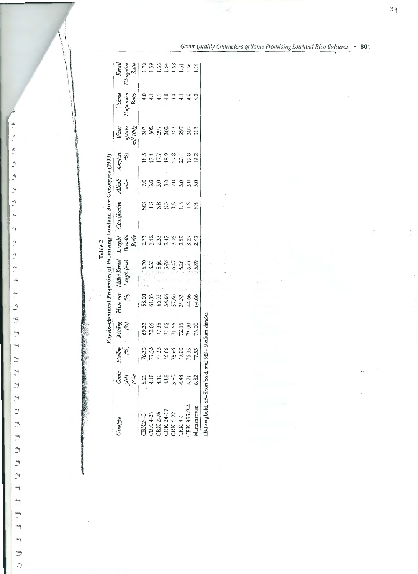| senotype                                     | Grain<br>yield<br>1/ba | $\binom{6}{0}$<br>Hulling                          | Milling<br>(%)                                     | Head rice<br>$\widetilde{\omega}_{\rho}$          | Milled Kernel<br>Length (mm)              | Length  <br>Breadth<br>Ratio | Classification | Alkali<br>value | Amylose<br>$\binom{6}{2}$ | Water<br>uplake<br>ml  100g | Expansion<br>Ratio<br><b>Volume</b>                                                                                                         | Kernel<br>Elangation<br>Ratio<br>Ratio<br>1.5<br>1.5<br>1.6<br>1.6<br>1.6<br>1.6 |
|----------------------------------------------|------------------------|----------------------------------------------------|----------------------------------------------------|---------------------------------------------------|-------------------------------------------|------------------------------|----------------|-----------------|---------------------------|-----------------------------|---------------------------------------------------------------------------------------------------------------------------------------------|----------------------------------------------------------------------------------|
| <b>RK24-3</b>                                | 5.29                   |                                                    |                                                    |                                                   |                                           |                              |                |                 |                           |                             |                                                                                                                                             |                                                                                  |
| <b>CRK 4-25</b>                              |                        |                                                    |                                                    |                                                   |                                           |                              |                |                 |                           |                             |                                                                                                                                             |                                                                                  |
|                                              | $4.19$<br>$4.10$       |                                                    |                                                    |                                                   |                                           |                              |                |                 |                           |                             |                                                                                                                                             |                                                                                  |
|                                              |                        |                                                    |                                                    |                                                   |                                           |                              |                |                 |                           |                             |                                                                                                                                             |                                                                                  |
| CRK 2-26<br>CRK 24-17<br>CRK 4-22<br>CRK 4-1 | 4.88                   |                                                    |                                                    |                                                   |                                           |                              |                |                 |                           |                             |                                                                                                                                             |                                                                                  |
|                                              | 4.48                   |                                                    |                                                    |                                                   |                                           |                              |                |                 |                           |                             |                                                                                                                                             |                                                                                  |
| :RK 835-2-4                                  | 4.71                   | 76.33<br>77.33<br>76.66<br>76.50<br>77.33<br>77.33 | 69.33<br>72.66<br>77.33<br>71.66<br>71.00<br>73.00 | 58.00<br>G1.33<br>G3.34.66<br>G3.34.66<br>G3.4.66 | 5.33 % 5.47<br>6.33 % 5.47<br>6.47 % 6.47 | 2235588342                   | SKBBSHAB       |                 | 12177884182               | 38538558                    | $\frac{1}{4}$ $\frac{1}{4}$ $\frac{1}{4}$ $\frac{1}{4}$ $\frac{1}{4}$ $\frac{1}{4}$ $\frac{1}{4}$ $\frac{1}{4}$ $\frac{1}{4}$ $\frac{1}{4}$ |                                                                                  |
| Aanasarovar                                  | 6.82                   |                                                    |                                                    |                                                   | 5.89                                      |                              |                |                 |                           |                             |                                                                                                                                             |                                                                                  |

 $T_{112}$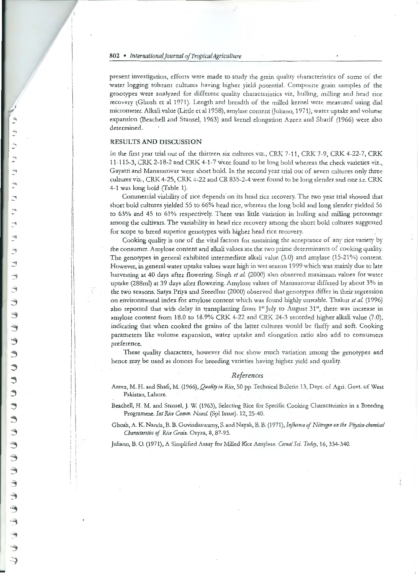present investigation, efforts were made to study the grain quality characteristics of some of the water logging tolerant cultures having higher yield potential. Composite grain samples of the genotypes were analyzed for different quality characteristics viz, hulling, milling and head rice recovery (Ghosh et al 1971). Length and breadth of the milled kernel were measured using dial micrometer. Alkali value (Little et al 1958), amylase content (Juliano, 1971), water uptake and volume expansion (Beachell and Stansel, 1963) and kernel elongation Azeez and Sharif (1966) were also determined.

## **RESULTS AND DISCUSSION**

In the first year trial out of the thirteen six cultures viz., CRK 7-11, CRK 7-9, CRK 4-22-7, CRK 11-115-3, CRK 2-18-2 and CRK 4-1-7 were found to be long bold whereas the check varieties viz., Gayatri and Manasarovar were short bold. In the second year trial out of seven cultures only three cultures viz., CRK 4-25, CRK 4-22 and CR 835-2-4 were found to be long slender and one i.e. CRK 4-1 was long bold (Table 1).

Commercial viability of rice depends on its head rice recovery. The two year trial showed that short bold cultures yielded 55 to 66% head rice, whereas the long bold and long slender yielded 56 to 63% and 45 to 61% respectively. There was little variation in hulling and milling percentage among the cultivars. The variability in head rice recovery among the short bold cultures suggested for scope to breed superior genotypes with higher head rice recovery.

Cooking quality is one of the vital factors for sustaining the acceptance of any rice variety by the consumer. Amylose content and alkali values are the two prime determinants of cooking quality. The genotypes in general exhibited intermediate alkali value (3.0) and amylase (15-21%) content. However, in general water uptake values were high in wet season 1999 which was mainly due to late harvesting at 40 days after flowering. Singh et al. (2000) also observed maximum values for water uptake (288ml) at 39 days after flowering. Amylose values of Manasarovar differed by about 3% in the two seasons. Satya Priya and Sreedhar (2000) observed that genotypes differ in their regression on environmental index for amylose content which was found highly unstable. Thakur et al. (1996) also reported that with delay in transplanting from 1<sup>st</sup> July to August 31<sup>st</sup>, there was increase in amylose content from 18.0 to 18.9% CRK 4-22 and CRK 24-3 recorded higher alkali value (7.0), indicating that when cooked the grains of the latter cultures would be fluffy and soft. Cooking parameters like volume expansion, water uptake and elongation ratio also add to consumers preference.

These quality characters, however did not show much variation among the genotypes and hence may be used as donors for breeding varieties having higher yield and quality.

## References

Azeez, M. H. and Shafi, M. (1966), Quality in Rice, 50 pp. Technical Bulletin 13, Dept. of Agri. Govt. of West Pakistan, Lahore.

Beachell, H. M. and Stansel, J. W. (1963), Selecting Rice for Specific Cooking Characteristics in a Breeding Programme. Int Rice Comm. Newsl. (Spl Issue). 12, 25-40.

Ghosh, A. K. Nanda, B. B. Govindaswarny, S. and Nayak, B. B. (1971), Influence of Nitrogen on the Physico-chemical Characterstics of Rice Grain. Oryza, 8, 87-93.

Juliano, B. O. (1971), A Simplified Assay for Milled Rice Amylase. Cereal Sci. Today, 16, 334-340.